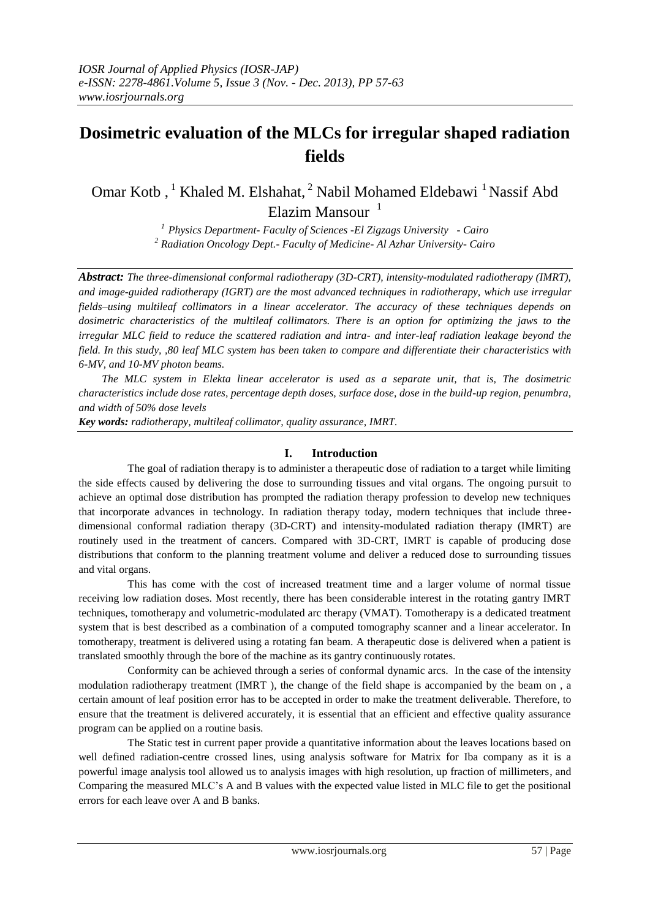# **Dosimetric evaluation of the MLCs for irregular shaped radiation fields**

Omar Kotb, <sup>1</sup> Khaled M. Elshahat, <sup>2</sup> Nabil Mohamed Eldebawi <sup>1</sup> Nassif Abd Elazim Mansour $1$ 

> *<sup>1</sup>Physics Department- Faculty of Sciences -El Zigzags University - Cairo <sup>2</sup> Radiation Oncology Dept.- Faculty of Medicine- Al Azhar University- Cairo*

*Abstract: The three-dimensional conformal radiotherapy (3D-CRT), intensity-modulated radiotherapy (IMRT), and image-guided radiotherapy (IGRT) are the most advanced techniques in radiotherapy, which use irregular fields–using multileaf collimators in a linear accelerator. The accuracy of these techniques depends on dosimetric characteristics of the multileaf collimators. There is an option for optimizing the jaws to the irregular MLC field to reduce the scattered radiation and intra- and inter-leaf radiation leakage beyond the field. In this study, ,80 leaf MLC system has been taken to compare and differentiate their characteristics with 6-MV, and 10-MV photon beams.*

*The MLC system in Elekta linear accelerator is used as a separate unit, that is, The dosimetric characteristics include dose rates, percentage depth doses, surface dose, dose in the build-up region, penumbra, and width of 50% dose levels*

*Key words: radiotherapy, multileaf collimator, quality assurance, IMRT.*

## **I. Introduction**

The goal of radiation therapy is to administer a therapeutic dose of radiation to a target while limiting the side effects caused by delivering the dose to surrounding tissues and vital organs. The ongoing pursuit to achieve an optimal dose distribution has prompted the radiation therapy profession to develop new techniques that incorporate advances in technology. In radiation therapy today, modern techniques that include threedimensional conformal radiation therapy (3D-CRT) and intensity-modulated radiation therapy (IMRT) are routinely used in the treatment of cancers. Compared with 3D-CRT, IMRT is capable of producing dose distributions that conform to the planning treatment volume and deliver a reduced dose to surrounding tissues and vital organs.

This has come with the cost of increased treatment time and a larger volume of normal tissue receiving low radiation doses. Most recently, there has been considerable interest in the rotating gantry IMRT techniques, tomotherapy and volumetric-modulated arc therapy (VMAT). Tomotherapy is a dedicated treatment system that is best described as a combination of a computed tomography scanner and a linear accelerator. In tomotherapy, treatment is delivered using a rotating fan beam. A therapeutic dose is delivered when a patient is translated smoothly through the bore of the machine as its gantry continuously rotates.

Conformity can be achieved through a series of conformal dynamic arcs. In the case of the intensity modulation radiotherapy treatment (IMRT ), the change of the field shape is accompanied by the beam on , a certain amount of leaf position error has to be accepted in order to make the treatment deliverable. Therefore, to ensure that the treatment is delivered accurately, it is essential that an efficient and effective quality assurance program can be applied on a routine basis.

The Static test in current paper provide a quantitative information about the leaves locations based on well defined radiation-centre crossed lines, using analysis software for Matrix for Iba company as it is a powerful image analysis tool allowed us to analysis images with high resolution, up fraction of millimeters, and Comparing the measured MLC's A and B values with the expected value listed in MLC file to get the positional errors for each leave over A and B banks.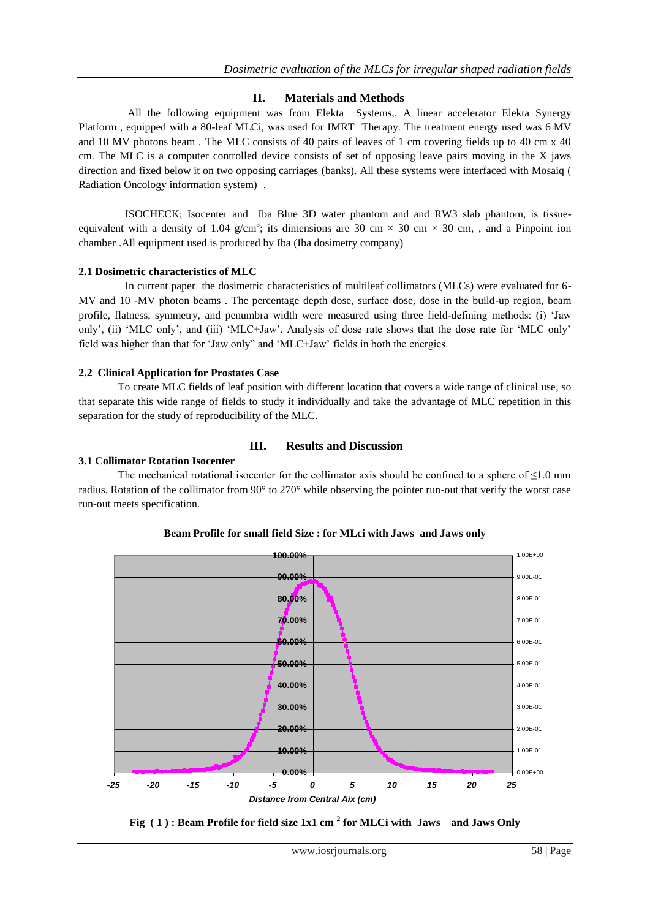# **II. Materials and Methods**

All the following equipment was from Elekta Systems,. A linear accelerator Elekta Synergy Platform , equipped with a 80-leaf MLCi, was used for IMRT Therapy. The treatment energy used was 6 MV and 10 MV photons beam . The MLC consists of 40 pairs of leaves of 1 cm covering fields up to 40 cm x 40 cm. The MLC is a computer controlled device consists of set of opposing leave pairs moving in the X jaws direction and fixed below it on two opposing carriages (banks). All these systems were interfaced with Mosaiq ( Radiation Oncology information system) .

ISOCHECK; Isocenter and Iba Blue 3D water phantom and and RW3 slab phantom, is tissueequivalent with a density of 1.04 g/cm<sup>3</sup>; its dimensions are 30 cm  $\times$  30 cm  $\times$  30 cm, , and a Pinpoint ion chamber .All equipment used is produced by Iba (Iba dosimetry company)

## **2.1 Dosimetric characteristics of MLC**

In current paper the dosimetric characteristics of multileaf collimators (MLCs) were evaluated for 6-MV and 10 -MV photon beams . The percentage depth dose, surface dose, dose in the build-up region, beam profile, flatness, symmetry, and penumbra width were measured using three field-defining methods: (i) "Jaw only", (ii) "MLC only", and (iii) "MLC+Jaw". Analysis of dose rate shows that the dose rate for "MLC only" field was higher than that for "Jaw only" and "MLC+Jaw" fields in both the energies.

### **2.2 Clinical Application for Prostates Case**

To create MLC fields of leaf position with different location that covers a wide range of clinical use, so that separate this wide range of fields to study it individually and take the advantage of MLC repetition in this separation for the study of reproducibility of the MLC.

### **III. Results and Discussion**

#### **3.1 Collimator Rotation Isocenter**

The mechanical rotational isocenter for the collimator axis should be confined to a sphere of  $\leq 1.0$  mm radius. Rotation of the collimator from 90° to 270° while observing the pointer run-out that verify the worst case run-out meets specification.



# **Beam Profile for small field Size : for MLci with Jaws and Jaws only**

**Fig ( 1 ) : Beam Profile for field size 1x1 cm <sup>2</sup> for MLCi with Jaws and Jaws Only**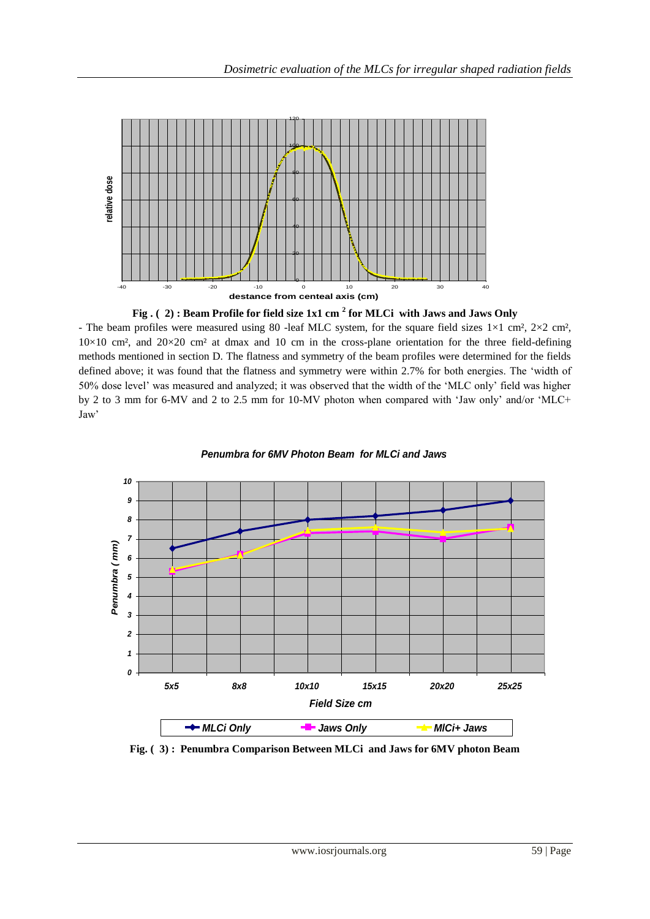



- The beam profiles were measured using 80 -leaf MLC system, for the square field sizes  $1\times1$  cm<sup>2</sup>,  $2\times2$  cm<sup>2</sup>,  $10\times10$  cm<sup>2</sup>, and  $20\times20$  cm<sup>2</sup> at dmax and 10 cm in the cross-plane orientation for the three field-defining methods mentioned in section D. The flatness and symmetry of the beam profiles were determined for the fields defined above; it was found that the flatness and symmetry were within 2.7% for both energies. The "width of 50% dose level" was measured and analyzed; it was observed that the width of the "MLC only" field was higher by 2 to 3 mm for 6-MV and 2 to 2.5 mm for 10-MV photon when compared with "Jaw only" and/or "MLC+ Jaw'



*Penumbra for 6MV Photon Beam for MLCi and Jaws*

**Fig. ( 3) : Penumbra Comparison Between MLCi and Jaws for 6MV photon Beam**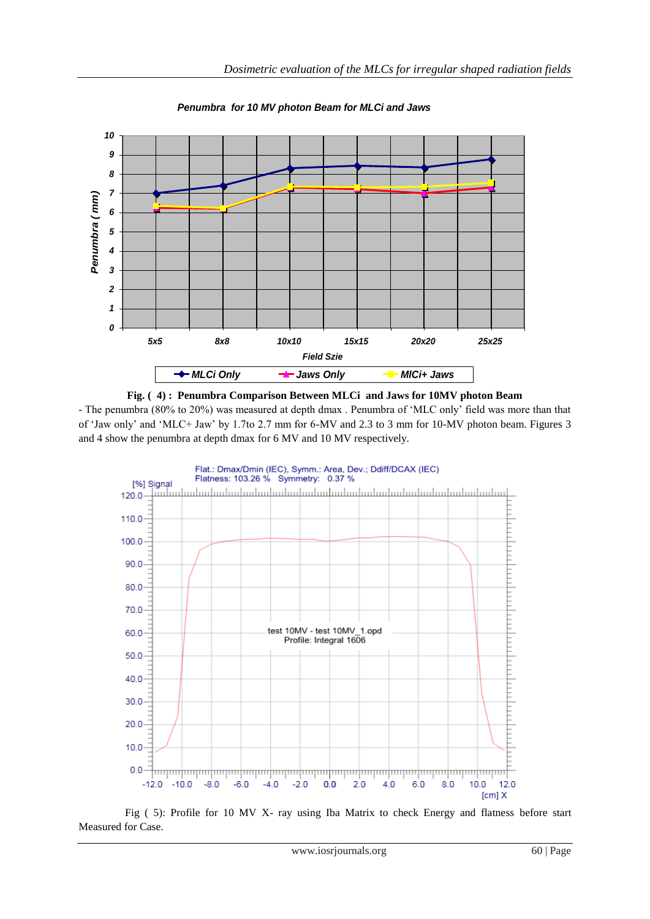

*Penumbra for 10 MV photon Beam for MLCi and Jaws*





Fig ( 5): Profile for 10 MV X- ray using Iba Matrix to check Energy and flatness before start Measured for Case.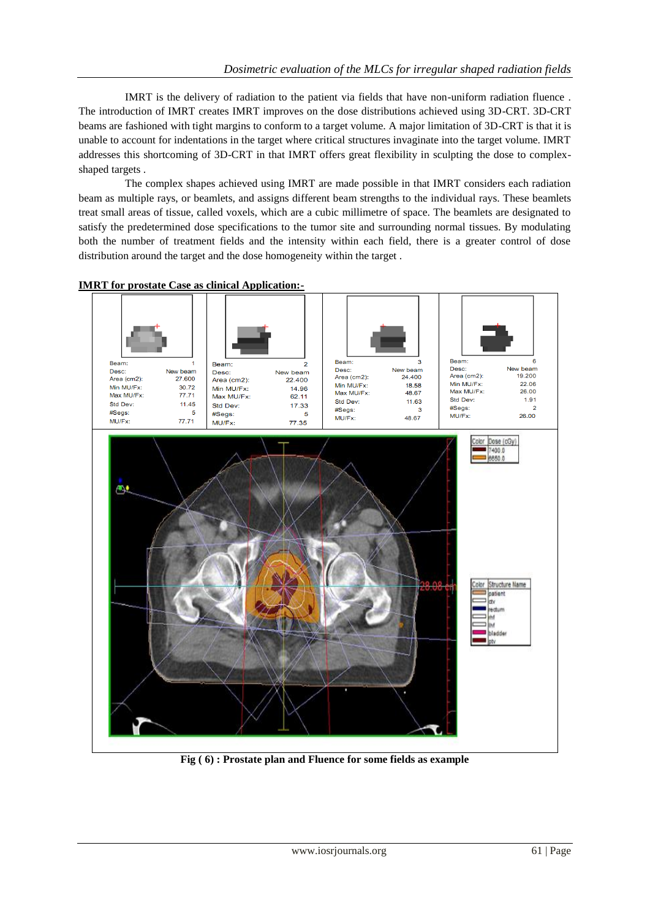IMRT is the delivery of radiation to the patient via fields that have non-uniform radiation fluence . The introduction of IMRT creates IMRT improves on the dose distributions achieved using 3D-CRT. 3D-CRT beams are fashioned with tight margins to conform to a target volume. A major limitation of 3D-CRT is that it is unable to account for indentations in the target where critical structures invaginate into the target volume. IMRT addresses this shortcoming of 3D-CRT in that IMRT offers great flexibility in sculpting the dose to complexshaped targets .

The complex shapes achieved using IMRT are made possible in that IMRT considers each radiation beam as multiple rays, or beamlets, and assigns different beam strengths to the individual rays. These beamlets treat small areas of tissue, called voxels, which are a cubic millimetre of space. The beamlets are designated to satisfy the predetermined dose specifications to the tumor site and surrounding normal tissues. By modulating both the number of treatment fields and the intensity within each field, there is a greater control of dose distribution around the target and the dose homogeneity within the target .



**IMRT for prostate Case as clinical Application:-**

**Fig ( 6) : Prostate plan and Fluence for some fields as example**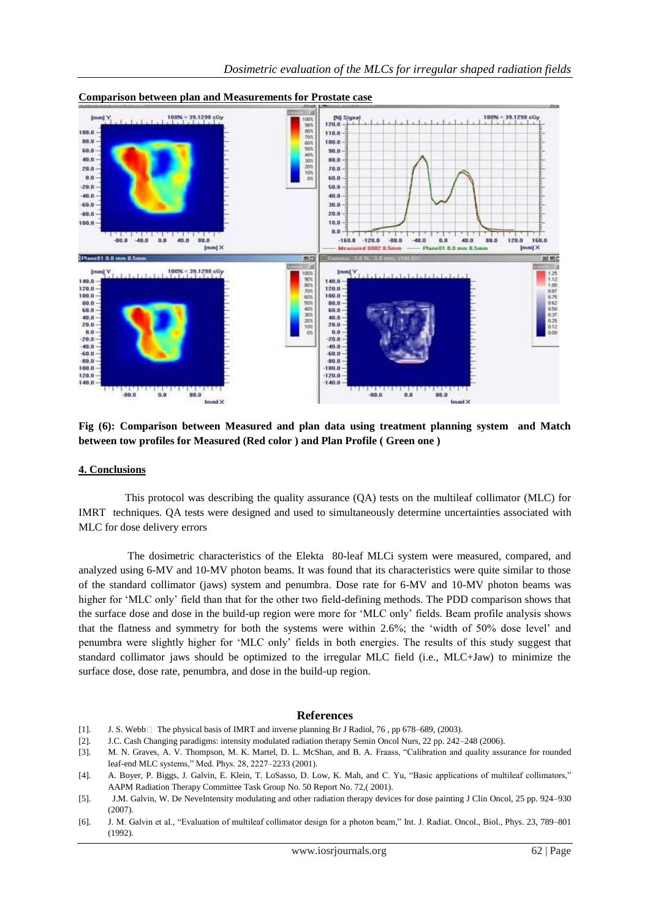

#### **Comparison between plan and Measurements for Prostate case**

**Fig (6): Comparison between Measured and plan data using treatment planning system and Match between tow profiles for Measured (Red color ) and Plan Profile ( Green one )**

#### **4. Conclusions**

This protocol was describing the quality assurance (QA) tests on the multileaf collimator (MLC) for IMRT techniques. QA tests were designed and used to simultaneously determine uncertainties associated with MLC for dose delivery errors

The dosimetric characteristics of the Elekta 80-leaf MLCi system were measured, compared, and analyzed using 6-MV and 10-MV photon beams. It was found that its characteristics were quite similar to those of the standard collimator (jaws) system and penumbra. Dose rate for 6-MV and 10-MV photon beams was higher for "MLC only" field than that for the other two field-defining methods. The PDD comparison shows that the surface dose and dose in the build-up region were more for "MLC only" fields. Beam profile analysis shows that the flatness and symmetry for both the systems were within 2.6%; the "width of 50% dose level" and penumbra were slightly higher for "MLC only" fields in both energies. The results of this study suggest that standard collimator jaws should be optimized to the irregular MLC field (i.e., MLC+Jaw) to minimize the surface dose, dose rate, penumbra, and dose in the build-up region.

#### **References**

- [1]. J. S. Webb□ The physical basis of IMRT and inverse planning Br J Radiol, 76, pp 678–689, (2003).
- [2]. J.C. Cash Changing paradigms: intensity modulated radiation therapy Semin Oncol Nurs, 22 pp. 242–248 (2006).
- [3]. M. N. Graves, A. V. Thompson, M. K. Martel, D. L. McShan, and B. A. Fraass, "Calibration and quality assurance for rounded leaf-end MLC systems," Med. Phys. 28, 2227–2233 (2001).
- [4]. A. Boyer, P. Biggs, J. Galvin, E. Klein, T. LoSasso, D. Low, K. Mah, and C. Yu, "Basic applications of multileaf collimators," AAPM Radiation Therapy Committee Task Group No. 50 Report No. 72,( 2001).
- [5]. J.M. Galvin, W. De NeveIntensity modulating and other radiation therapy devices for dose painting J Clin Oncol, 25 pp. 924–930 (2007).
- [6]. J. M. Galvin et al., "Evaluation of multileaf collimator design for a photon beam," Int. J. Radiat. Oncol., Biol., Phys. 23, 789–801 (1992).